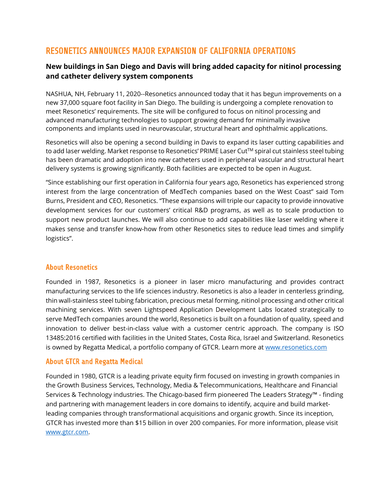# RESONETICS ANNOUNCES MAJOR EXPANSION OF CALIFORNIA OPERATIONS

## **New buildings in San Diego and Davis will bring added capacity for nitinol processing and catheter delivery system components**

NASHUA, NH, February 11, 2020--Resonetics announced today that it has begun improvements on a new 37,000 square foot facility in San Diego. The building is undergoing a complete renovation to meet Resonetics' requirements. The site will be configured to focus on nitinol processing and advanced manufacturing technologies to support growing demand for minimally invasive components and implants used in neurovascular, structural heart and ophthalmic applications.

Resonetics will also be opening a second building in Davis to expand its laser cutting capabilities and to add laser welding. Market response to Resonetics' PRIME Laser Cut™ spiral cut stainless steel tubing has been dramatic and adoption into new catheters used in peripheral vascular and structural heart delivery systems is growing significantly. Both facilities are expected to be open in August.

"Since establishing our first operation in California four years ago, Resonetics has experienced strong interest from the large concentration of MedTech companies based on the West Coast" said Tom Burns, President and CEO, Resonetics. "These expansions will triple our capacity to provide innovative development services for our customers' critical R&D programs, as well as to scale production to support new product launches. We will also continue to add capabilities like laser welding where it makes sense and transfer know-how from other Resonetics sites to reduce lead times and simplify logistics".

### About Resonetics

Founded in 1987, Resonetics is a pioneer in laser micro manufacturing and provides contract manufacturing services to the life sciences industry. Resonetics is also a leader in centerless grinding, thin wall-stainless steel tubing fabrication, precious metal forming, nitinol processing and other critical machining services. With seven Lightspeed Application Development Labs located strategically to serve MedTech companies around the world, Resonetics is built on a foundation of quality, speed and innovation to deliver best-in-class value with a customer centric approach. The company is ISO 13485:2016 certified with facilities in the United States, Costa Rica, Israel and Switzerland. Resonetics is owned by Regatta Medical, a portfolio company of GTCR. Learn more at [www.resonetics.com](http://www.resonetics.com/)

### About GTCR and Regatta Medical

Founded in 1980, GTCR is a leading private equity firm focused on investing in growth companies in the Growth Business Services, Technology, Media & Telecommunications, Healthcare and Financial Services & Technology industries. The Chicago-based firm pioneered The Leaders Strategy™ - finding and partnering with management leaders in core domains to identify, acquire and build marketleading companies through transformational acquisitions and organic growth. Since its inception, GTCR has invested more than \$15 billion in over 200 companies. For more information, please visit [www.gtcr.com.](http://www.gtcr.com/)